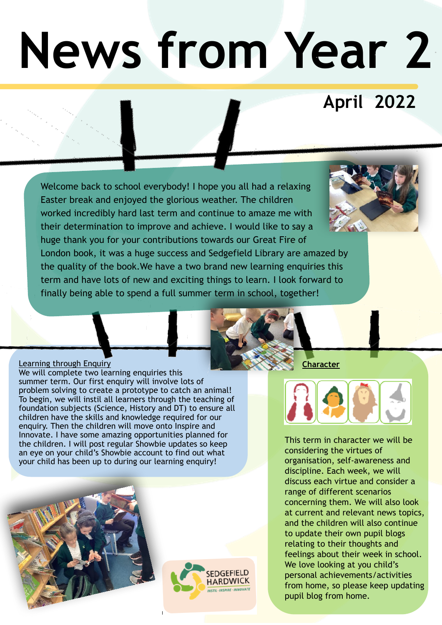# **News from Year 2**

## **April 2022**

Welcome back to school everybody! I hope you all had a relaxing Easter break and enjoyed the glorious weather. The children worked incredibly hard last term and continue to amaze me with their determination to improve and achieve. I would like to say a huge thank you for your contributions towards our Great Fire of London book, it was a huge success and Sedgefield Library are amazed by the quality of the book.We have a two brand new learning enquiries this term and have lots of new and exciting things to learn. I look forward to finally being able to spend a full summer term in school, together!

#### Learning through Enquiry We will complete two learning enquiries this summer term. Our first enquiry will involve lots of problem solving to create a prototype to catch an animal! To begin, we will instil all learners through the teaching of foundation subjects (Science, History and DT) to ensure all children have the skills and knowledge required for our enquiry. Then the children will move onto Inspire and Innovate. I have some amazing opportunities planned for the children. I will post regular Showbie updates so keep an eye on your child's Showbie account to find out what your child has been up to during our learning enquiry!





**Character**



This term in character we will be considering the virtues of organisation, self-awareness and discipline. Each week, we will discuss each virtue and consider a range of different scenarios concerning them. We will also look at current and relevant news topics, and the children will also continue to update their own pupil blogs relating to their thoughts and feelings about their week in school. We love looking at you child's personal achievements/activities from home, so please keep updating pupil blog from home.